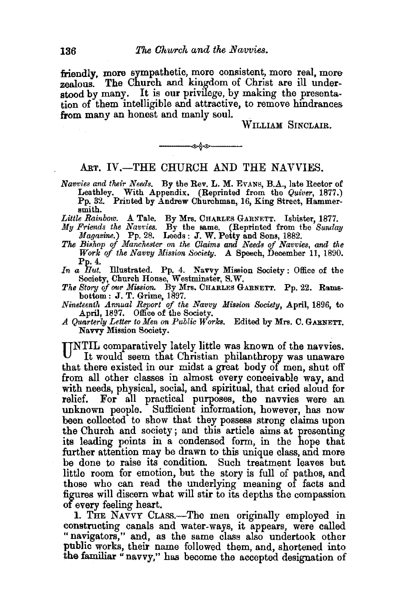friendly, more sympathetic, more consistent, more real, more zealous.' The Church and kingdom of Christ are ill understood by many. It is our privilege, by making the presentation of them intelligible and attractive, to remove hindrances from many an honest and manly soul.

WILLIAM SINCLAIR.

## ART. IV.-THE CHURCH AND THE NAVVIES.

---~---

- *Navvies and their Needs.* By the Rev. L. M. EVANs, B.A., late Rector of Leathley. With Appendix. (Reprinted from the *Quiver,* 1877.) Pp. 32. Printed by Andrew Churchman, 16, King Street, Hammersmith.
- *Little Rainbow.* A Tale. By Mrs. CHARLES GARNETT. Isbister, 1877.
- *My Friends the Navvies.* By the same. (Reprinted from the *Sunday Magazine.*) Pp. 28. Leeds: J. W. Petty and Sons, 1882.
- *The Bishop of Manchester on the Claims and Needs of Navvies, and the Work of the Navvy l'!fission Society.* A Speech, December 11, 1890. Pp.4.
- In a Hut. Illustrated. Pp. 4. Navvy Mission Society: Office of the Society, Church Honse, Westminster, S.W.
- *The Story of our Mission.* By Mrs. CHARLES GARNETT. Pp. 22. Ramsbottom: J. T. Grime, 1897.
- *Nineteenth Annual Report of the Navvy Missiou Society,* April, 1896, to April, 1897. Office of the Society.
- *A Quarterly Letter to Men ou Public Works.* Edited by Mrs. C. GARNETT. Navvy Mission Society.

UNTIL comparatively lately little was known of the navvies. It would seem that Christian philanthropy was unaware that there existed in our midst a great body of men, shut off from all other classes in almost every conceivable way, and with needs, physical, social, and spiritual, that cried aloud for relief. For all practical purposes, the navvies were an unknown people. Sufficient information, however, has now been collected to show that they possess strong claims upon the Church and society; and this article aims at presenting its leading points in a condensed form, in the hope that further attention may be drawn to this unique class, and more be done to raise its condition. Such treatment leaves but little room for emotion, but the story is full of pathos, and those who can read the underlying meaning of facts and figures will discern what will stir to its depths the compassion of every feeling heart.

1. THE NAVVY CLASS.-The men originally employed in constructing canals and water-ways, it appears, were called "navigators," and, as the same class also undertook other public works, their name followed them, and, shortened into the familiar "navvy," has become the accepted designation of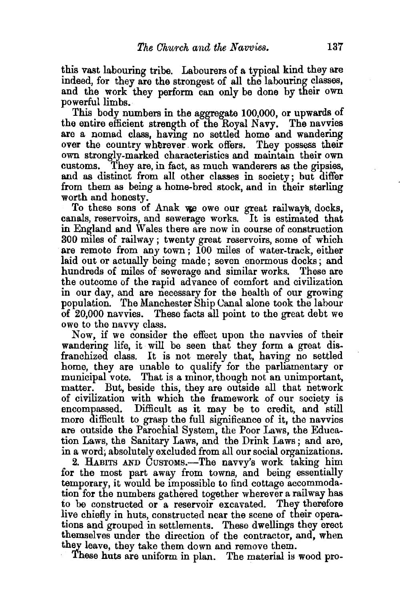this vast labouring tribe. Labourers of a typical kind they are indeed, for they are the strongest of all the labouring classes, and the work they perform can only be done by their own powerful limbs.

This body numbers in the aggregate 100,000, or upwards of the entire efficient strength of the Royal Navy. The navvies are a nomad class, having no settled home and wandering over the country wherever work offers. They possess their own strongly-marked characteristics and maintam their own customs. They are, in fact, as much wanderers as the gipsies, and as distinct from all other classes in society; but differ from them as being a home-bred stock, and in their sterling worth and honesty.

To these sons of Anak we owe our great railways, docks, canals, reservoirs, and sewerage works. It is estimated that in England and Wales there are now in course of construction 300 miles of railway ; twenty great reservoirs, some of which are remote from any town; 100 miles of water-track, either laid out or actually being made ; seven enormous docks ; and hundreds of miles of sewerage and similar works. These are the outcome of the rapid advance of comfort and civilization in our day, and are necessary for the health of our growing population. The Manchester Ship Oanal alone took the labour of 20,000 navvies. These facts all point to the great debt we owe to the navvy class.

Now, if we consider the effect upon the navvies of their wandering life, it will be seen that they form a great disfranchized class. It is not merely that, having no settled home, they are unable to qualify for the parliamentary or municipal vote. That is a minor, though not an unimportant, matter. But, beside this, they are outside all that network of civilization with which the framework of our society is encompassed. Difficult as it may be to credit, and still more difficult to grasp the full significance of it, the navvies are outside the Parochial System, the Poor Laws, the Education Laws, the Sanitary Laws, and the Drink Laws; and are, in a word; absolutely excluded from all our social organizations.

2. HABITS AND CusTOMS.-The navvy's work taking him for the most part away from towns, and being essentially temporary, it would be impossible to find cottage accommodation for the numbers gathered together wherever a railway has io be constructed or a reservoir excavated. They therefore live chiefly in huts, constructed near the scene of their operations and grouped in settlements. These dwellings they erect themselves under the direction of the contractor, and, when they leave, they take them down and remove them.

These huts are uniform in plan. The material is wood pro-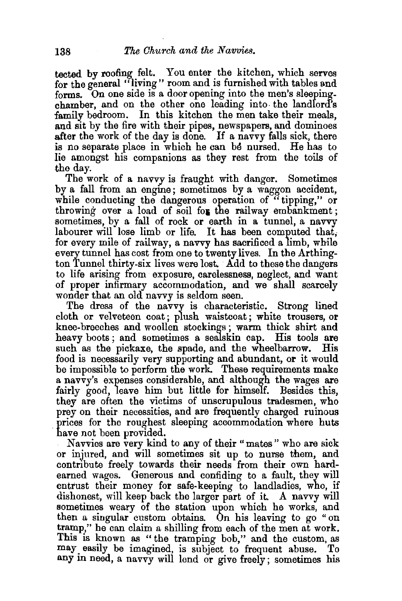tected by roofing felt. You enter the kitchen, which serves for the general "living" room and is furnished with tables and forms. On one side is a door opening into the men's sleepingchamber, and on the other one leading into- the landlord's family bedroom. In this kitchen the men take their meals, and sit by the fire with their pipes, newspapers, and dominoes after the work of the day is done. If a navvy falls sick, there is no separate place in which he can be nursed. He has to lie amongst his companions as they rest from the toils of .the day.

The work of a navvy is fraught with danger. Sometimes by a fall from an engme ; sometimes by a waggon accident, while conducting the dangerous operation of "tipping," or throwing over a load of soil for the railway embankment; sometimes, by a fall of rock or earth in a tunnel, a navvy labourer will lose limb or life. It has been computed that, for every mile of railway, a navvy has sacrificed a limb, while every tunnel has cost from one to twenty lives. In the Arthington Tunnel thirty-six lives were lost. Add to these the dangers to life arising from exposure, carelessness, neglect, and want of proper infirmary accommodation, and we shall scarcely wonder that an old navvy is seldom seen.

The dress of the navvy is characteristic. Strong lined cloth or velveteen coat; plush waistcoat; white trousers, or knee-breeches and woollen stockings ; warm thick shirt and heavy boots; and sometimes a sealskin cap. His tools are such as the pickaxe, the spade, and the wheelbarrow. His food is necessarily very supporting and abundant, or it would be impossible to perform the work. These requirements make a navvy's expenses considerable, and although the wages are fairly good, leave him but little for himself. Besides this, they are often the victims of unscrupulous tradesmen, who prey on their necessities, and are frequently charged ruinous prices for the roughest sleeping accommodation where huts have not been provided.

Navvies are very kind to any of their "mates" who are sick or injured, and will sometimes sit up to nurse them, and contribute freely towards their needs from their own hardearned wages. Generous and confiding to a fault, they will entrust their money for safe-keeping to landladies, who, if dishonest, will keep back the larger part of it. A navvy will sometimes weary of the station upon which he works, and then a singular custom obtains. On his leaving to go " on tramp," he can claim a shilling from eaeh of the men at work. This is known as " the tramping bob," and the custom, as may. easily be imagined, is subject to frequent abuse. To any in need, a navvy will lend or give freely; sometimes his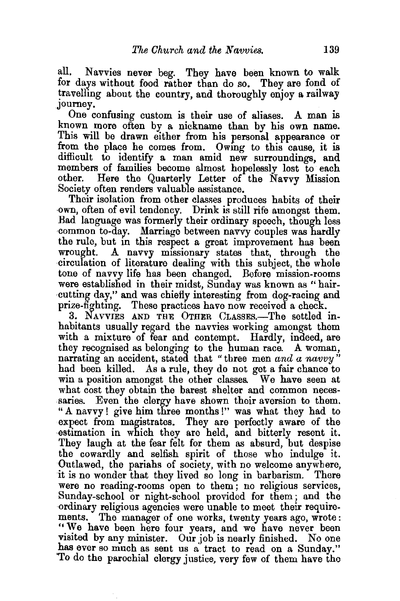all. Navvies never beg. They have been known to walk for days without food rather than do so. They are fond of travelling about the country, and thoroughly enjoy a railway journey.

One confusing custom is their use of aliases. A man is known more often by a nickname than by his own name. This will be drawn either from his personal appearance or from the place he comes from. Owing to this cause, it is difficult to identify a man amid new surroundings, and members of families become almost hopelessly lost to each other. Here the Quarterly Letter of the Navy Mission Here the Quarterly Letter of the Navvy Mission Society often renders valuable assistance.

Their isolation from other classes produces habits of their own, often of evil tendency. Drink is still rife amongst them. Bad language was formerly their ordinary speech, though less common to-day. Marriage between navvy couples was hardly the rule, but in this respect a great improvement has been<br>wrought. A navyy missionary states that, through the A navvy missionary states that, through the circulation of literature dealing with this subject, the whole tone of navvy life has been clianged. Before mission-rooms were established in their midst, Sunday was known as " hair- ·cutting day," and was chiefly interesting from dog-racing and prize-fighting. These practices have now received a check.

3. NAVVIES AND THE OTHER CLASSES.-The settled inhabitants usually regard the navvies working amongst them with a mixture of fear and contempt. Hardly, indeed, are they recognised as belonging to the human race. A woman, narrating an accident, stated that " three men *and a navvy* " had been killed. As a rule, they do not get a fair chance to win a position amongst the other classes. We have seen at what cost they obtain the barest shelter and common necessaries. Even the clergy have shown their aversion to them. "A navvy! give him three months!" was what they had to expect from magistrates. They are perfectly aware of the ~stimation in which they are held, and bitterly resent it. They laugh at the fear felt for them as absurd, but despise the cowardly and selfish spirit of those who indulge it. Outlawed, the pariahs of society, with no welcome anywhere, it is no wonder that they lived so long in barbarism. There were no reading-rooms open to them; no religious services, Sunday-school or night-school provided for them; and the ordinary religious agencies were unable to meet their requirements. The manager of one works, twenty years ago, wrote: "We have been here four years, and we have never been visited by any minister. Our job is nearly finished. No one has ever so much as sent us a tract to read on a Sunday." 'To do the parochial clergy justice, very few of them have the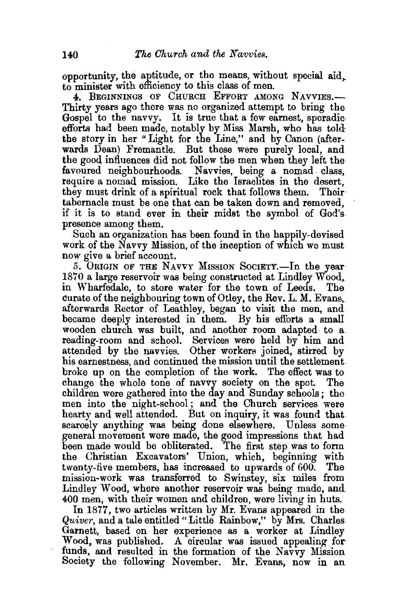opportunity, the aptitude, or the means, without special aid,. to minister with efficiency to this class of men.

4. BEGINNINGS OF CHURCH EFFORT AMONG NAVVIES.-Thirty years ago there was no organized attempt to bring the Gospel to the navvy. It is true that a few earnest, sporadic· efforts had been made, notably by Miss Marsh, who has told the story in her "Light for the Line," and by Canon (afterwards Dean) Fremantle. But these were purely local, and the good influences did not follow the men when they left the favoured neighbourhoods. Navvies, being a nomad class, require a nomad mission. Like the Israelites in the desert, they must drink of a spiritual rock that follows them. Their· tabernacle must be one that can be taken down and removed, if it is to stand ever in their midst the symbol of God's presence among them.

Such an organization has been found in the happily-devised work of the Navvy Mission, of the inception of which we must now give a brief account.

5. ORIGIN OF THE NAVVY MISSION SOCIETY.—In the year 1870 a large reservoir was being constructed at Lindley Wood,. in Wharfedale, to store water for the town of Leeds. The curate of the neighbouring town of Otley, the Rev. L. M. Evans,. afterwards Rector of Leathley, began to visit the men, and became deeply interested in them. By his efforts a small wooden church was built, and another room adapted· to a. reading-room and school. Services were held by him and attended by the navvies. Other workers joined, stirred by his earnestness, and continued the mission until the settlement broke up on the completion of the work. The effect was to change the whole tone of navvy society on the spot. The children were gathered into the day and Sunday schools; the men into the night-school; and the Church services were hearty and well attended. But on inquiry, it was found that scarcely anything was being done elsewhere. Unless some general movement were made, the good impressions that had been made would be obliterated. The first step was to form the Christian Excavators' Union, which, beginning with twenty-five members, has increased to upwards of 600. The mission-work was transferred to Swinstey, six miles from Lindley Wood, where another reservoir was being made, and 400 men, with their women and children, were living in huts.

In 1877, two articles written by Mr. Evans appeared in the *Quiver*, and a tale entitled "Little Rainbow," by Mrs. Charles Garnett, based on her experience as a worker at Lindley Wood, was published. A circular was issued appealing for funds, and resulted in the formation of the Navvy Mission Society the following November. Mr. Evans, now in an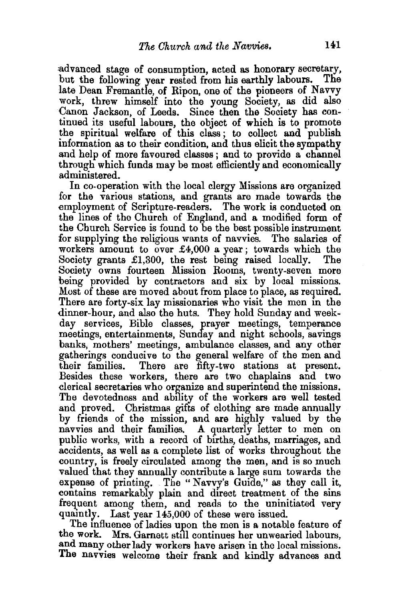~dvanced stage of consumption, acted as honorary secretary, but the following year rested from his earthly labours. The late Dean Fremantle, of Ripon, one of the pioneers of Navvy work, threw himself into the young Society, as did also Canon Jackson, of Leeds. Since then the Society has continued its useful labours, the object of which is to promote the spiritual welfare of this class ; to collect and publish information as to their condition, and thus elicit the sympathy and help of more favoured classes ; and to provide a channel through which funds may be most efficiently and economically administered.

In co-operation with the local clergy Missions are organized for the various stations, and grants are made towards the employment of Scripture-readers. The work is conducted on the lines of the Church of England, and a modified form of the Church Service is found to be the best possible instrument for supplying the religious wants of navvies. The salaries of workers amount to over  $\pounds4,000$  a year; towards which the Society grants  $\pounds1,300$ , the rest being raised locally. The Society grants  $£1,300$ , the rest being raised locally. Society owns fourteen Mission Rooms, twenty-seven more being provided by contractors and six by local missions. Most of these are moved about from place to place, as required. There are forty-six lay missionaries who visit the men in the dinner-hour, and also the huts. They hold Sunday and weekday services, Bible classes, prayer meetings, temperance meetings, entertainments, Sunday and night schools, savings banks, mothers' meetings, ambulance classes, and any other gatherings conducive to the general welfare of the men and their families. There are fifty-two stations at present. There are fifty-two stations at present. Besides these workers, there are two chaplains and two clerical secretaries who organize and superintend the missions. The devotedness and ability of the workers are well tested and proved. Christmas gifts of clothing are made annually by friends of the mission, and are highly valued by the navvies and their families. A quarterly letter to men on public works, with a record of births, deaths, marriages, and accidents, as well as a complete list of works throughout the country, is freely circulated among the men, and is so much valued that they annually contribute a large sum towards the expense of printing. The "Navvy's Guide," as they call it, contains remarkably plain and direct treatment of the sins frequent among them, and reads to the uninitiated very quamtly. Last year 145,000 of these were issued.

The influence of ladies upon the men is a notable feature of the work. Mrs. Garnett still continues her unwearied labours, and many other lady workers have arisen in the local missions. The navvies welcome their frank and kindly advances and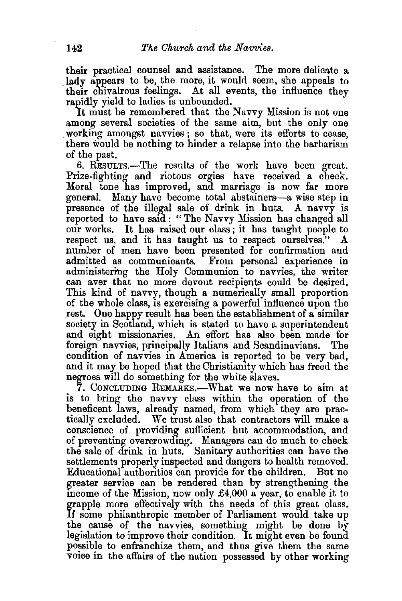their practical counsel and assistance. The more delicate a lady appears to be, the more, it would seem, she appeals to their chivalrous feelings. At all events, the influence they rapidly yield to ladies is unbounded.

It must be remembered that the Navvy Mission is not one among several societies of the same aim, but the only one working amongst navvies ; so that, were its efforts to cease, there would be nothing to hinder a relapse into the barbarism of the past.

6. RESULTS.-The results of the work have been great. Prize-fighting and riotous orgies have received a check. Moral tone has improved, and marriage is now far more general. Many have become total abstainers-a wise step in presence of the illegal sale of drink in huts. A navvy is reported to have said: "The Navvy Mission has changed all our works. It has raised our class ; it has taught people to respect us, and it has taught us to respect ourselves." A number of men have been presented for confirmation and admitted as communicants. From personal experience in administering the Holy Communion to navvies, the writer can aver that no more devout recipients could be desired. This kind of navvy, though a numerically small proportion of the whole class, is exercising a powerful influence upon the rest. One happy result has been the establishment of a similar society in Scotland, which is stated to have a superintendent and eight missionaries. An effort has also been made for foreign navvies, principally Italians and Scandinavians. The condition of navvies in America is reported to be very bad, and it may be hoped that the Christianity which has freed the negroes will do something for the white slaves.

7. CONCLUDING REMARKS.-What we now have to aim at is to bring the navvy class within the operation of the beneficent laws, already named, from which they are practically excluded. We trust also that contractors will make a conscience of providing sufficient hut accommodation, and of preventing overcrowding. Managers can do much to check the sale of drink in huts. Sanitary authorities can have the settlements properly inspected and dangers to health removed. Educational authorities can provide for the children. But no greater service can be rendered than by strengthening the income of the Mission, now only  $\pounds4,000$  a year, to enable it to grapple more effectively with the needs of this great class. If some philanthropic member of Parliament would take up the cause of the navvies, something might be done by legislation to improve their condition. It might even be found possible to enfranchize them, and thus give them the same voice in the affairs of the nation. possessed by other working